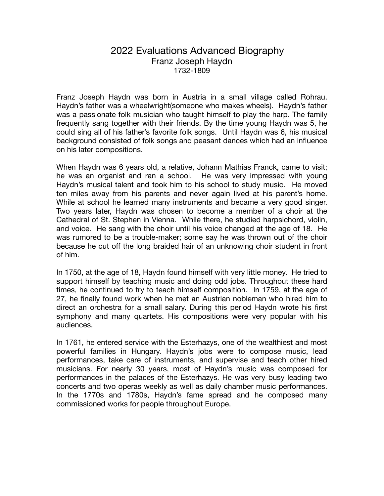## 2022 Evaluations Advanced Biography Franz Joseph Haydn 1732-1809

Franz Joseph Haydn was born in Austria in a small village called Rohrau. Haydn's father was a wheelwright(someone who makes wheels). Haydn's father was a passionate folk musician who taught himself to play the harp. The family frequently sang together with their friends. By the time young Haydn was 5, he could sing all of his father's favorite folk songs. Until Haydn was 6, his musical background consisted of folk songs and peasant dances which had an influence on his later compositions.

When Haydn was 6 years old, a relative, Johann Mathias Franck, came to visit; he was an organist and ran a school. He was very impressed with young Haydn's musical talent and took him to his school to study music. He moved ten miles away from his parents and never again lived at his parent's home. While at school he learned many instruments and became a very good singer. Two years later, Haydn was chosen to become a member of a choir at the Cathedral of St. Stephen in Vienna. While there, he studied harpsichord, violin, and voice. He sang with the choir until his voice changed at the age of 18. He was rumored to be a trouble-maker; some say he was thrown out of the choir because he cut off the long braided hair of an unknowing choir student in front of him.

In 1750, at the age of 18, Haydn found himself with very little money. He tried to support himself by teaching music and doing odd jobs. Throughout these hard times, he continued to try to teach himself composition. In 1759, at the age of 27, he finally found work when he met an Austrian nobleman who hired him to direct an orchestra for a small salary. During this period Haydn wrote his first symphony and many quartets. His compositions were very popular with his audiences.

In 1761, he entered service with the Esterhazys, one of the wealthiest and most powerful families in Hungary. Haydn's jobs were to compose music, lead performances, take care of instruments, and supervise and teach other hired musicians. For nearly 30 years, most of Haydn's music was composed for performances in the palaces of the Esterhazys. He was very busy leading two concerts and two operas weekly as well as daily chamber music performances. In the 1770s and 1780s, Haydn's fame spread and he composed many commissioned works for people throughout Europe.